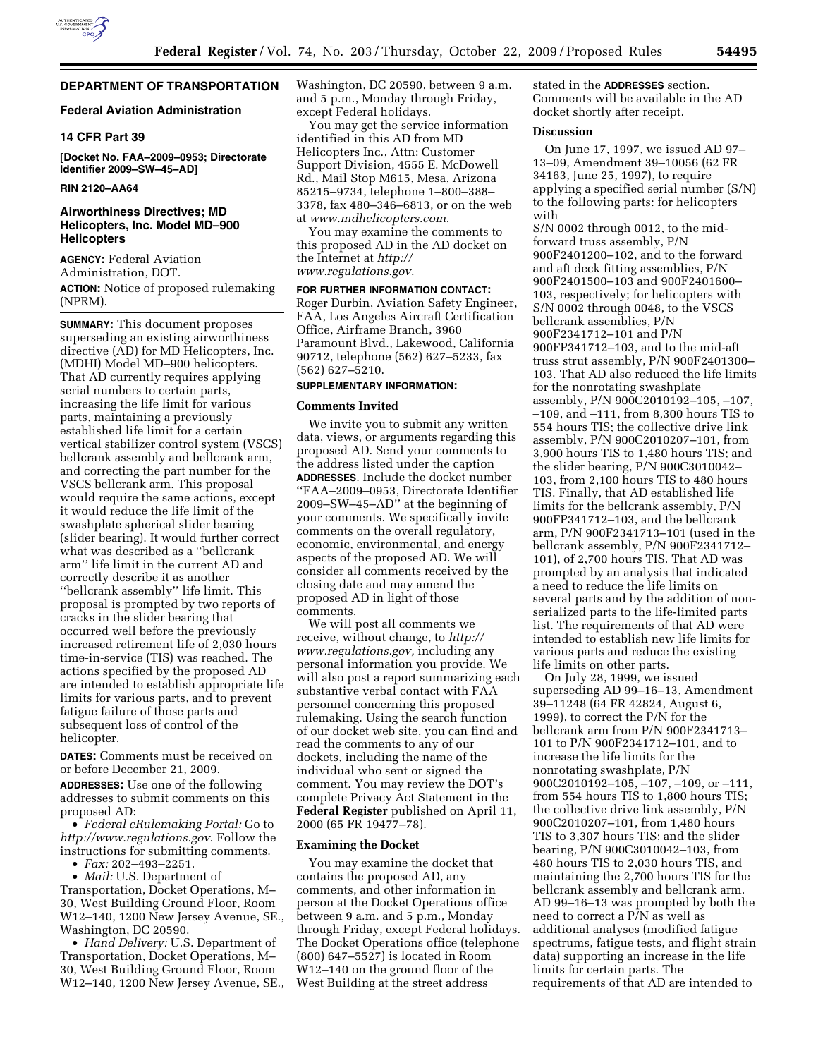

# **DEPARTMENT OF TRANSPORTATION**

## **Federal Aviation Administration**

## **14 CFR Part 39**

**[Docket No. FAA–2009–0953; Directorate Identifier 2009–SW–45–AD]** 

### **RIN 2120–AA64**

# **Airworthiness Directives; MD Helicopters, Inc. Model MD–900 Helicopters**

**AGENCY:** Federal Aviation Administration, DOT. **ACTION:** Notice of proposed rulemaking (NPRM).

**SUMMARY:** This document proposes superseding an existing airworthiness directive (AD) for MD Helicopters, Inc. (MDHI) Model MD–900 helicopters. That AD currently requires applying serial numbers to certain parts, increasing the life limit for various parts, maintaining a previously established life limit for a certain vertical stabilizer control system (VSCS) bellcrank assembly and bellcrank arm, and correcting the part number for the VSCS bellcrank arm. This proposal would require the same actions, except it would reduce the life limit of the swashplate spherical slider bearing (slider bearing). It would further correct what was described as a ''bellcrank arm'' life limit in the current AD and correctly describe it as another ''bellcrank assembly'' life limit. This proposal is prompted by two reports of cracks in the slider bearing that occurred well before the previously increased retirement life of 2,030 hours time-in-service (TIS) was reached. The actions specified by the proposed AD are intended to establish appropriate life limits for various parts, and to prevent fatigue failure of those parts and subsequent loss of control of the helicopter.

**DATES:** Comments must be received on or before December 21, 2009.

**ADDRESSES:** Use one of the following addresses to submit comments on this proposed AD:

• *Federal eRulemaking Portal:* Go to *http://www.regulations.gov*. Follow the instructions for submitting comments.

• *Fax:* 202–493–2251.

• *Mail:* U.S. Department of Transportation, Docket Operations, M– 30, West Building Ground Floor, Room W12–140, 1200 New Jersey Avenue, SE., Washington, DC 20590.

• *Hand Delivery:* U.S. Department of Transportation, Docket Operations, M– 30, West Building Ground Floor, Room W12–140, 1200 New Jersey Avenue, SE., Washington, DC 20590, between 9 a.m. and 5 p.m., Monday through Friday, except Federal holidays.

You may get the service information identified in this AD from MD Helicopters Inc., Attn: Customer Support Division, 4555 E. McDowell Rd., Mail Stop M615, Mesa, Arizona 85215–9734, telephone 1–800–388– 3378, fax 480–346–6813, or on the web at *www.mdhelicopters.com*.

You may examine the comments to this proposed AD in the AD docket on the Internet at *http:// www.regulations.gov*.

## **FOR FURTHER INFORMATION CONTACT:**

Roger Durbin, Aviation Safety Engineer, FAA, Los Angeles Aircraft Certification Office, Airframe Branch, 3960 Paramount Blvd., Lakewood, California 90712, telephone (562) 627–5233, fax (562) 627–5210.

## **SUPPLEMENTARY INFORMATION:**

#### **Comments Invited**

We invite you to submit any written data, views, or arguments regarding this proposed AD. Send your comments to the address listed under the caption **ADDRESSES**. Include the docket number ''FAA–2009–0953, Directorate Identifier 2009–SW–45–AD'' at the beginning of your comments. We specifically invite comments on the overall regulatory, economic, environmental, and energy aspects of the proposed AD. We will consider all comments received by the closing date and may amend the proposed AD in light of those comments.

We will post all comments we receive, without change, to *http:// www.regulations.gov,* including any personal information you provide. We will also post a report summarizing each substantive verbal contact with FAA personnel concerning this proposed rulemaking. Using the search function of our docket web site, you can find and read the comments to any of our dockets, including the name of the individual who sent or signed the comment. You may review the DOT's complete Privacy Act Statement in the **Federal Register** published on April 11, 2000 (65 FR 19477–78).

#### **Examining the Docket**

You may examine the docket that contains the proposed AD, any comments, and other information in person at the Docket Operations office between 9 a.m. and 5 p.m., Monday through Friday, except Federal holidays. The Docket Operations office (telephone (800) 647–5527) is located in Room W12–140 on the ground floor of the West Building at the street address

stated in the **ADDRESSES** section. Comments will be available in the AD docket shortly after receipt.

### **Discussion**

On June 17, 1997, we issued AD 97– 13–09, Amendment 39–10056 (62 FR 34163, June 25, 1997), to require applying a specified serial number (S/N) to the following parts: for helicopters with

S/N 0002 through 0012, to the midforward truss assembly, P/N 900F2401200–102, and to the forward and aft deck fitting assemblies, P/N 900F2401500–103 and 900F2401600– 103, respectively; for helicopters with S/N 0002 through 0048, to the VSCS bellcrank assemblies, P/N 900F2341712–101 and P/N 900FP341712–103, and to the mid-aft truss strut assembly, P/N 900F2401300– 103. That AD also reduced the life limits for the nonrotating swashplate assembly, P/N 900C2010192–105, –107, –109, and –111, from 8,300 hours TIS to 554 hours TIS; the collective drive link assembly, P/N 900C2010207–101, from 3,900 hours TIS to 1,480 hours TIS; and the slider bearing, P/N 900C3010042– 103, from 2,100 hours TIS to 480 hours TIS. Finally, that AD established life limits for the bellcrank assembly, P/N 900FP341712–103, and the bellcrank arm, P/N 900F2341713–101 (used in the bellcrank assembly, P/N 900F2341712– 101), of 2,700 hours TIS. That AD was prompted by an analysis that indicated a need to reduce the life limits on several parts and by the addition of nonserialized parts to the life-limited parts list. The requirements of that AD were intended to establish new life limits for various parts and reduce the existing life limits on other parts.

On July 28, 1999, we issued superseding AD 99–16–13, Amendment 39–11248 (64 FR 42824, August 6, 1999), to correct the P/N for the bellcrank arm from P/N 900F2341713– 101 to P/N 900F2341712–101, and to increase the life limits for the nonrotating swashplate, P/N 900C2010192–105, –107, –109, or –111, from 554 hours TIS to 1,800 hours TIS; the collective drive link assembly, P/N 900C2010207–101, from 1,480 hours TIS to 3,307 hours TIS; and the slider bearing, P/N 900C3010042–103, from 480 hours TIS to 2,030 hours TIS, and maintaining the 2,700 hours TIS for the bellcrank assembly and bellcrank arm. AD 99–16–13 was prompted by both the need to correct a P/N as well as additional analyses (modified fatigue spectrums, fatigue tests, and flight strain data) supporting an increase in the life limits for certain parts. The requirements of that AD are intended to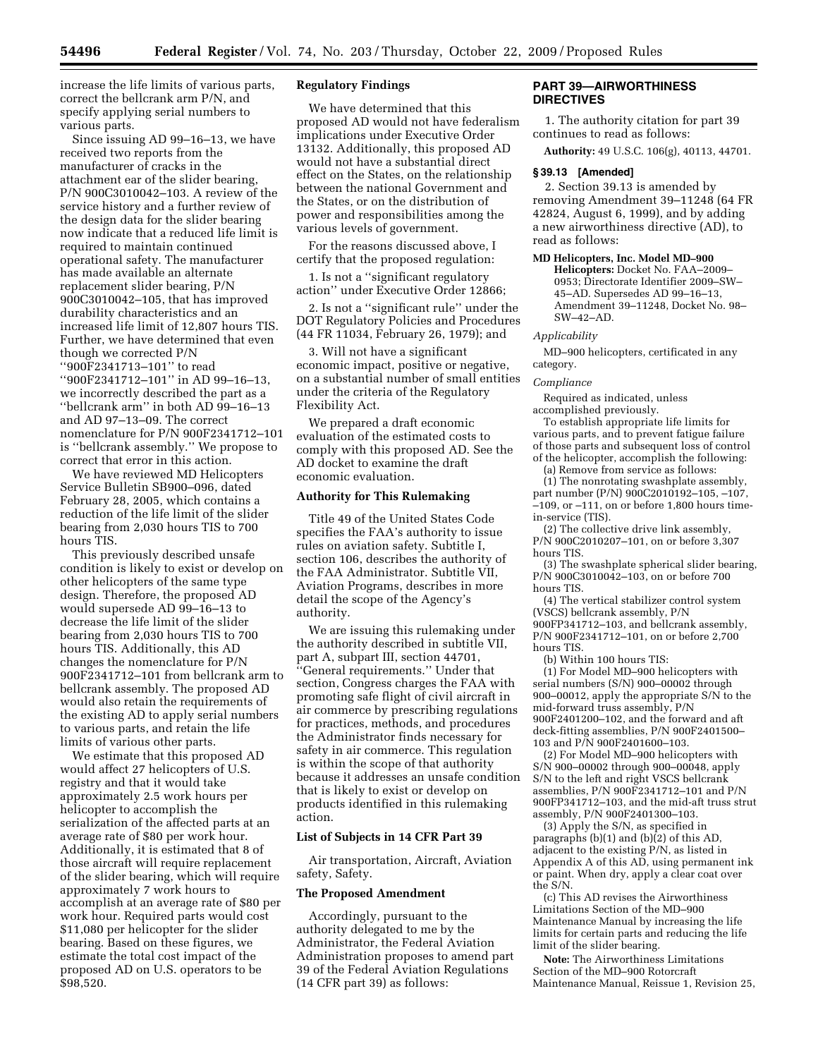increase the life limits of various parts, correct the bellcrank arm P/N, and specify applying serial numbers to various parts.

Since issuing AD 99–16–13, we have received two reports from the manufacturer of cracks in the attachment ear of the slider bearing, P/N 900C3010042–103. A review of the service history and a further review of the design data for the slider bearing now indicate that a reduced life limit is required to maintain continued operational safety. The manufacturer has made available an alternate replacement slider bearing, P/N 900C3010042–105, that has improved durability characteristics and an increased life limit of 12,807 hours TIS. Further, we have determined that even though we corrected P/N ''900F2341713–101'' to read ''900F2341712–101'' in AD 99–16–13, we incorrectly described the part as a ''bellcrank arm'' in both AD 99–16–13 and AD 97–13–09. The correct nomenclature for P/N 900F2341712–101 is ''bellcrank assembly.'' We propose to correct that error in this action.

We have reviewed MD Helicopters Service Bulletin SB900–096, dated February 28, 2005, which contains a reduction of the life limit of the slider bearing from 2,030 hours TIS to 700 hours TIS.

This previously described unsafe condition is likely to exist or develop on other helicopters of the same type design. Therefore, the proposed AD would supersede AD 99–16–13 to decrease the life limit of the slider bearing from 2,030 hours TIS to 700 hours TIS. Additionally, this AD changes the nomenclature for P/N 900F2341712–101 from bellcrank arm to bellcrank assembly. The proposed AD would also retain the requirements of the existing AD to apply serial numbers to various parts, and retain the life limits of various other parts.

We estimate that this proposed AD would affect 27 helicopters of U.S. registry and that it would take approximately 2.5 work hours per helicopter to accomplish the serialization of the affected parts at an average rate of \$80 per work hour. Additionally, it is estimated that 8 of those aircraft will require replacement of the slider bearing, which will require approximately 7 work hours to accomplish at an average rate of \$80 per work hour. Required parts would cost \$11,080 per helicopter for the slider bearing. Based on these figures, we estimate the total cost impact of the proposed AD on U.S. operators to be \$98,520.

### **Regulatory Findings**

We have determined that this proposed AD would not have federalism implications under Executive Order 13132. Additionally, this proposed AD would not have a substantial direct effect on the States, on the relationship between the national Government and the States, or on the distribution of power and responsibilities among the various levels of government.

For the reasons discussed above, I certify that the proposed regulation:

1. Is not a ''significant regulatory action'' under Executive Order 12866;

2. Is not a ''significant rule'' under the DOT Regulatory Policies and Procedures (44 FR 11034, February 26, 1979); and

3. Will not have a significant economic impact, positive or negative, on a substantial number of small entities under the criteria of the Regulatory Flexibility Act.

We prepared a draft economic evaluation of the estimated costs to comply with this proposed AD. See the AD docket to examine the draft economic evaluation.

#### **Authority for This Rulemaking**

Title 49 of the United States Code specifies the FAA's authority to issue rules on aviation safety. Subtitle I, section 106, describes the authority of the FAA Administrator. Subtitle VII, Aviation Programs, describes in more detail the scope of the Agency's authority.

We are issuing this rulemaking under the authority described in subtitle VII, part A, subpart III, section 44701, 'General requirements." Under that section, Congress charges the FAA with promoting safe flight of civil aircraft in air commerce by prescribing regulations for practices, methods, and procedures the Administrator finds necessary for safety in air commerce. This regulation is within the scope of that authority because it addresses an unsafe condition that is likely to exist or develop on products identified in this rulemaking action.

### **List of Subjects in 14 CFR Part 39**

Air transportation, Aircraft, Aviation safety, Safety.

### **The Proposed Amendment**

Accordingly, pursuant to the authority delegated to me by the Administrator, the Federal Aviation Administration proposes to amend part 39 of the Federal Aviation Regulations (14 CFR part 39) as follows:

# **PART 39—AIRWORTHINESS DIRECTIVES**

1. The authority citation for part 39 continues to read as follows:

**Authority:** 49 U.S.C. 106(g), 40113, 44701.

### **§ 39.13 [Amended]**

2. Section 39.13 is amended by removing Amendment 39–11248 (64 FR 42824, August 6, 1999), and by adding a new airworthiness directive (AD), to read as follows:

**MD Helicopters, Inc. Model MD–900** 

**Helicopters:** Docket No. FAA–2009– 0953; Directorate Identifier 2009–SW– 45–AD. Supersedes AD 99–16–13, Amendment 39–11248, Docket No. 98– SW–42–AD.

*Applicability* 

MD–900 helicopters, certificated in any category.

#### *Compliance*

Required as indicated, unless accomplished previously.

To establish appropriate life limits for various parts, and to prevent fatigue failure of those parts and subsequent loss of control

of the helicopter, accomplish the following: (a) Remove from service as follows:

(1) The nonrotating swashplate assembly,

part number (P/N) 900C2010192–105, –107,  $-109$ , or  $-111$ , on or before 1,800 hours timein-service (TIS).

(2) The collective drive link assembly, P/N 900C2010207–101, on or before 3,307 hours TIS.

(3) The swashplate spherical slider bearing, P/N 900C3010042–103, on or before 700 hours TIS.

(4) The vertical stabilizer control system (VSCS) bellcrank assembly, P/N 900FP341712–103, and bellcrank assembly, P/N 900F2341712–101, on or before 2,700 hours TIS.

(b) Within 100 hours TIS:

(1) For Model MD–900 helicopters with serial numbers (S/N) 900–00002 through 900–00012, apply the appropriate S/N to the mid-forward truss assembly, P/N 900F2401200–102, and the forward and aft deck-fitting assemblies, P/N 900F2401500– 103 and P/N 900F2401600–103.

(2) For Model MD–900 helicopters with S/N 900–00002 through 900–00048, apply S/N to the left and right VSCS bellcrank assemblies, P/N 900F2341712–101 and P/N 900FP341712–103, and the mid-aft truss strut assembly, P/N 900F2401300–103.

(3) Apply the S/N, as specified in paragraphs (b)(1) and (b)(2) of this AD, adjacent to the existing P/N, as listed in Appendix A of this AD, using permanent ink or paint. When dry, apply a clear coat over the S/N.

(c) This AD revises the Airworthiness Limitations Section of the MD–900 Maintenance Manual by increasing the life limits for certain parts and reducing the life limit of the slider bearing.

**Note:** The Airworthiness Limitations Section of the MD–900 Rotorcraft Maintenance Manual, Reissue 1, Revision 25,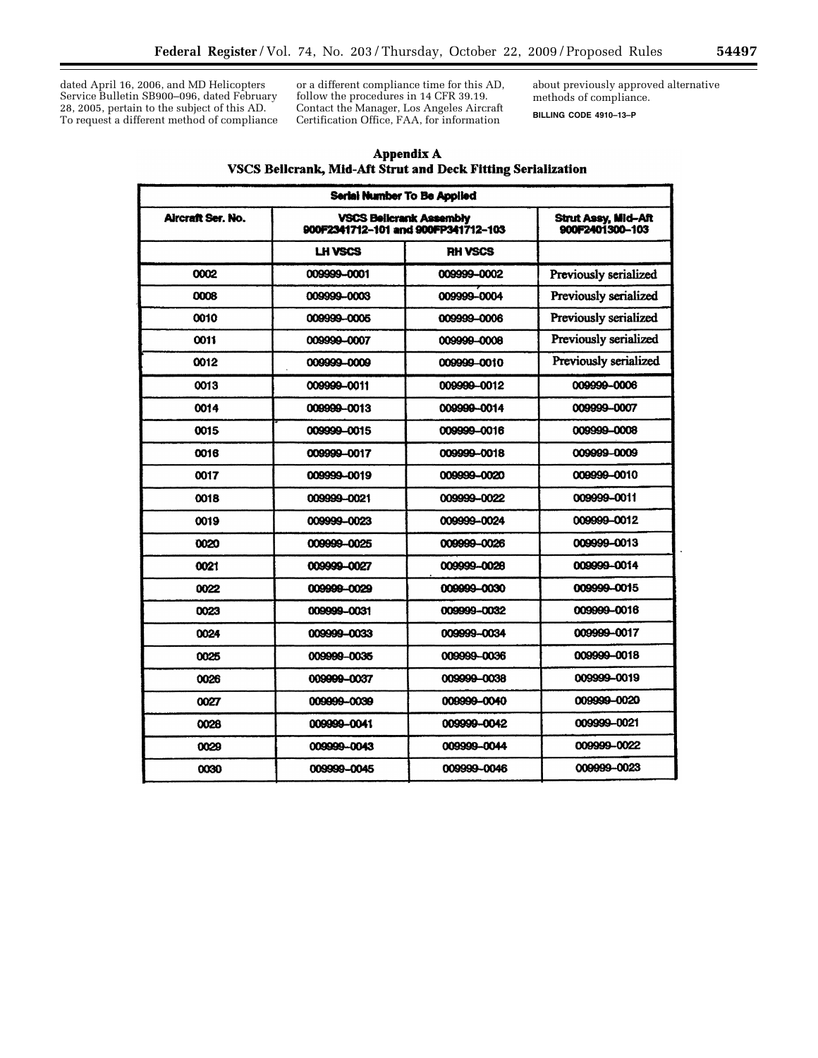dated April 16, 2006, and MD Helicopters Service Bulletin SB900–096, dated February 28, 2005, pertain to the subject of this AD. To request a different method of compliance or a different compliance time for this AD, follow the procedures in 14 CFR 39.19. Contact the Manager, Los Angeles Aircraft Certification Office, FAA, for information

about previously approved alternative methods of compliance.

**BILLING CODE 4910–13–P** 

| Appendix A                                                   |  |  |  |  |  |  |
|--------------------------------------------------------------|--|--|--|--|--|--|
| VSCS Bellcrank, Mid-Aft Strut and Deck Fitting Serialization |  |  |  |  |  |  |

| Serial Number To Be Applied |                                                                       |                                               |                       |  |  |
|-----------------------------|-----------------------------------------------------------------------|-----------------------------------------------|-----------------------|--|--|
| Aircraft Ser. No.           | <b>VSCS Belicrank Assembly</b><br>900F2341712-101 and 900FP341712-103 | <b>Strut Assy, Mid-Aft</b><br>900F2401300-103 |                       |  |  |
|                             | <b>LH VSCS</b>                                                        | <b>RH VSCS</b>                                |                       |  |  |
| 0002                        | 009999-0001                                                           | 009999-0002                                   | Previously serialized |  |  |
| 0008                        | 009999-0003                                                           | 009999-0004                                   | Previously serialized |  |  |
| 0010                        | 009999-0005                                                           | 009999-0006                                   | Previously serialized |  |  |
| 0011                        | 009999-0007                                                           | 009999-0008                                   | Previously serialized |  |  |
| 0012                        | 009999-0009                                                           | 009999-0010                                   | Previously serialized |  |  |
| 0013                        | 009999-0011                                                           | 009999-0012                                   | 009999-0006           |  |  |
| 0014                        | 009999-0013                                                           | 009999-0014                                   | 009999-0007           |  |  |
| 0015                        | 009999-0015                                                           | 009999-0016                                   | 009999-0008           |  |  |
| 0016                        | 009999-0017                                                           | 009999-0018                                   | 009999-0009           |  |  |
| 0017                        | 009999-0019                                                           | 009999-0020                                   | 009999-0010           |  |  |
| 0018                        | 009999-0021                                                           | 009999-0022                                   | 009999-0011           |  |  |
| 0019                        | 009999-0023                                                           | 009999-0024                                   | 009999-0012           |  |  |
| 0020                        | 009999-0025                                                           | 009999-0026                                   | 009999-0013           |  |  |
| 0021                        | 009999-0027                                                           | 009999-0028                                   | 009999-0014           |  |  |
| 0022                        | 009999-0029                                                           | 009999-0030                                   | 009999-0015           |  |  |
| 0023                        | 009999-0031                                                           | 009999-0032                                   | 009999-0016           |  |  |
| 0024                        | 009999-0033                                                           | 009999-0034                                   | 009999-0017           |  |  |
| 0025                        | 009999-0035                                                           | 009999-0036                                   | 009999-0018           |  |  |
| 0026                        | 009999-0037                                                           | 009999-0038                                   | 009999-0019           |  |  |
| 0027                        | 009999-0039                                                           | 009999-0040                                   | 009999-0020           |  |  |
| 0028                        | 009999-0041                                                           | 009999-0042                                   | 009999-0021           |  |  |
| 0029                        | 009999-0043                                                           | 009999-0044                                   | 009999-0022           |  |  |
| 0030                        | 009999-0045                                                           | 009999-0046                                   | 009999-0023           |  |  |

٠